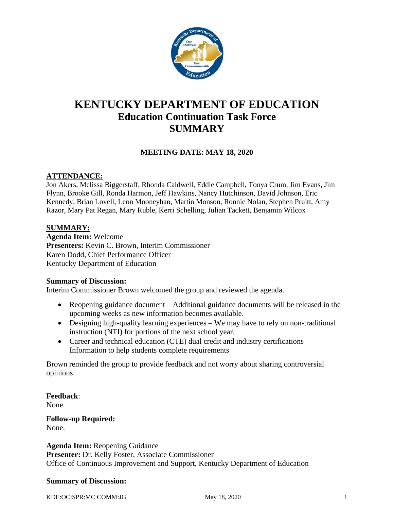

# **KENTUCKY DEPARTMENT OF EDUCATION Education Continuation Task Force SUMMARY**

# **MEETING DATE: MAY 18, 2020**

#### **ATTENDANCE:**

Jon Akers, Melissa Biggerstaff, Rhonda Caldwell, Eddie Campbell, Tonya Crum, Jim Evans, Jim Flynn, Brooke Gill, Ronda Harmon, Jeff Hawkins, Nancy Hutchinson, David Johnson, Eric Kennedy, Brian Lovell, Leon Mooneyhan, Martin Monson, Ronnie Nolan, Stephen Pruitt, Amy Razor, Mary Pat Regan, Mary Ruble, Kerri Schelling, Julian Tackett, Benjamin Wilcox

#### **SUMMARY:**

**Agenda Item:** Welcome **Presenters:** Kevin C. Brown, Interim Commissioner Karen Dodd, Chief Performance Officer Kentucky Department of Education

#### **Summary of Discussion:**

Interim Commissioner Brown welcomed the group and reviewed the agenda.

- Reopening guidance document Additional guidance documents will be released in the upcoming weeks as new information becomes available.
- Designing high-quality learning experiences We may have to rely on non-traditional instruction (NTI) for portions of the next school year.
- Career and technical education (CTE) dual credit and industry certifications Information to help students complete requirements

Brown reminded the group to provide feedback and not worry about sharing controversial opinions.

**Feedback**:

None.

**Follow-up Required:** None.

#### **Agenda Item:** Reopening Guidance

**Presenter:** Dr. Kelly Foster, Associate Commissioner Office of Continuous Improvement and Support, Kentucky Department of Education

#### **Summary of Discussion:**

KDE:OC:SPR:MC COMM:JG May 18, 2020 1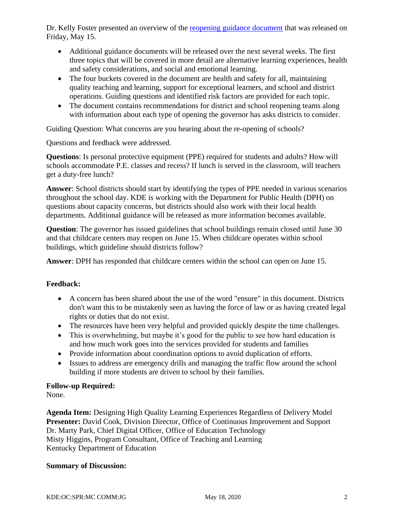Dr. Kelly Foster presented an overview of the [reopening guidance document](https://education.ky.gov/comm/Documents/Reopening%20Guidance%20%20051520kf_tkt%20421pm%20TM.pdf) that was released on Friday, May 15.

- Additional guidance documents will be released over the next several weeks. The first three topics that will be covered in more detail are alternative learning experiences, health and safety considerations, and social and emotional learning.
- The four buckets covered in the document are health and safety for all, maintaining quality teaching and learning, support for exceptional learners, and school and district operations. Guiding questions and identified risk factors are provided for each topic.
- The document contains recommendations for district and school reopening teams along with information about each type of opening the governor has asks districts to consider.

Guiding Question: What concerns are you hearing about the re-opening of schools?

Questions and feedback were addressed.

**Questions**: Is personal protective equipment (PPE) required for students and adults? How will schools accommodate P.E. classes and recess? If lunch is served in the classroom, will teachers get a duty-free lunch?

**Answer**: School districts should start by identifying the types of PPE needed in various scenarios throughout the school day. KDE is working with the Department for Public Health (DPH) on questions about capacity concerns, but districts should also work with their local health departments. Additional guidance will be released as more information becomes available.

**Question**: The governor has issued guidelines that school buildings remain closed until June 30 and that childcare centers may reopen on June 15. When childcare operates within school buildings, which guideline should districts follow?

**Answer**: DPH has responded that childcare centers within the school can open on June 15.

# **Feedback:**

- A concern has been shared about the use of the word "ensure" in this document. Districts don't want this to be mistakenly seen as having the force of law or as having created legal rights or duties that do not exist.
- The resources have been very helpful and provided quickly despite the time challenges.
- This is overwhelming, but maybe it's good for the public to see how hard education is and how much work goes into the services provided for students and families
- Provide information about coordination options to avoid duplication of efforts.
- Issues to address are emergency drills and managing the traffic flow around the school building if more students are driven to school by their families.

# **Follow-up Required:**

None.

**Agenda Item:** Designing High Quality Learning Experiences Regardless of Delivery Model **Presenter:** David Cook, Division Director, Office of Continuous Improvement and Support Dr. Marty Park, Chief Digital Officer, Office of Education Technology Misty Higgins, Program Consultant, Office of Teaching and Learning Kentucky Department of Education

# **Summary of Discussion:**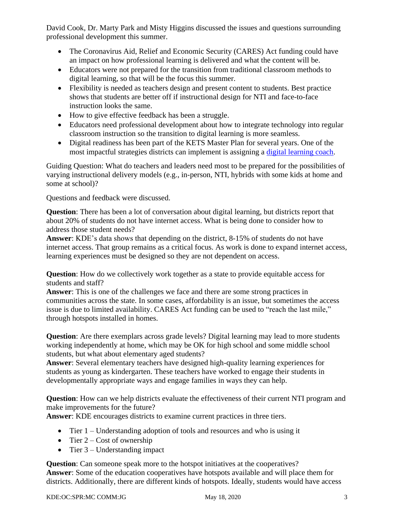David Cook, Dr. Marty Park and Misty Higgins discussed the issues and questions surrounding professional development this summer.

- The Coronavirus Aid, Relief and Economic Security (CARES) Act funding could have an impact on how professional learning is delivered and what the content will be.
- Educators were not prepared for the transition from traditional classroom methods to digital learning, so that will be the focus this summer.
- Flexibility is needed as teachers design and present content to students. Best practice shows that students are better off if instructional design for NTI and face-to-face instruction looks the same.
- How to give effective feedback has been a struggle.
- Educators need professional development about how to integrate technology into regular classroom instruction so the transition to digital learning is more seamless.
- Digital readiness has been part of the KETS Master Plan for several years. One of the most impactful strategies districts can implement is assigning a [digital learning coach.](https://sites.google.com/education.ky.gov/digitalntiawesome/)

Guiding Question: What do teachers and leaders need most to be prepared for the possibilities of varying instructional delivery models (e.g., in-person, NTI, hybrids with some kids at home and some at school)?

Questions and feedback were discussed.

**Question**: There has been a lot of conversation about digital learning, but districts report that about 20% of students do not have internet access. What is being done to consider how to address those student needs?

**Answer**: KDE's data shows that depending on the district, 8-15% of students do not have internet access. That group remains as a critical focus. As work is done to expand internet access, learning experiences must be designed so they are not dependent on access.

**Question**: How do we collectively work together as a state to provide equitable access for students and staff?

**Answer**: This is one of the challenges we face and there are some strong practices in communities across the state. In some cases, affordability is an issue, but sometimes the access issue is due to limited availability. CARES Act funding can be used to "reach the last mile," through hotspots installed in homes.

**Question**: Are there exemplars across grade levels? Digital learning may lead to more students working independently at home, which may be OK for high school and some middle school students, but what about elementary aged students?

**Answer**: Several elementary teachers have designed high-quality learning experiences for students as young as kindergarten. These teachers have worked to engage their students in developmentally appropriate ways and engage families in ways they can help.

**Question**: How can we help districts evaluate the effectiveness of their current NTI program and make improvements for the future?

**Answer**: KDE encourages districts to examine current practices in three tiers.

- Tier 1 Understanding adoption of tools and resources and who is using it
- Tier  $2 Cost of ownership$
- Tier  $3$  Understanding impact

**Question**: Can someone speak more to the hotspot initiatives at the cooperatives? **Answer**: Some of the education cooperatives have hotspots available and will place them for districts. Additionally, there are different kinds of hotspots. Ideally, students would have access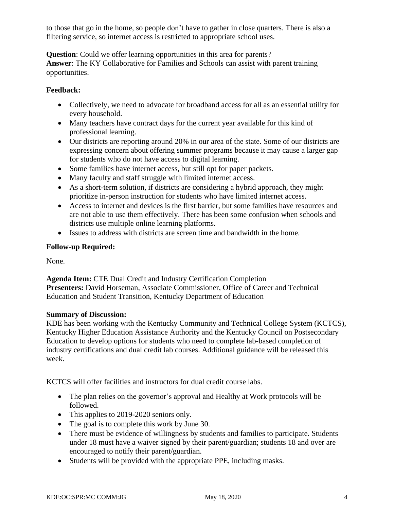to those that go in the home, so people don't have to gather in close quarters. There is also a filtering service, so internet access is restricted to appropriate school uses.

**Question**: Could we offer learning opportunities in this area for parents? **Answer**: The KY Collaborative for Families and Schools can assist with parent training opportunities.

# **Feedback:**

- Collectively, we need to advocate for broadband access for all as an essential utility for every household.
- Many teachers have contract days for the current year available for this kind of professional learning.
- Our districts are reporting around 20% in our area of the state. Some of our districts are expressing concern about offering summer programs because it may cause a larger gap for students who do not have access to digital learning.
- Some families have internet access, but still opt for paper packets.
- Many faculty and staff struggle with limited internet access.
- As a short-term solution, if districts are considering a hybrid approach, they might prioritize in-person instruction for students who have limited internet access.
- Access to internet and devices is the first barrier, but some families have resources and are not able to use them effectively. There has been some confusion when schools and districts use multiple online learning platforms.
- Issues to address with districts are screen time and bandwidth in the home.

# **Follow-up Required:**

None.

**Agenda Item:** CTE Dual Credit and Industry Certification Completion **Presenters:** David Horseman, Associate Commissioner, Office of Career and Technical Education and Student Transition, Kentucky Department of Education

# **Summary of Discussion:**

KDE has been working with the Kentucky Community and Technical College System (KCTCS), Kentucky Higher Education Assistance Authority and the Kentucky Council on Postsecondary Education to develop options for students who need to complete lab-based completion of industry certifications and dual credit lab courses. Additional guidance will be released this week.

KCTCS will offer facilities and instructors for dual credit course labs.

- The plan relies on the governor's approval and Healthy at Work protocols will be followed.
- This applies to 2019-2020 seniors only.
- The goal is to complete this work by June 30.
- There must be evidence of willingness by students and families to participate. Students under 18 must have a waiver signed by their parent/guardian; students 18 and over are encouraged to notify their parent/guardian.
- Students will be provided with the appropriate PPE, including masks.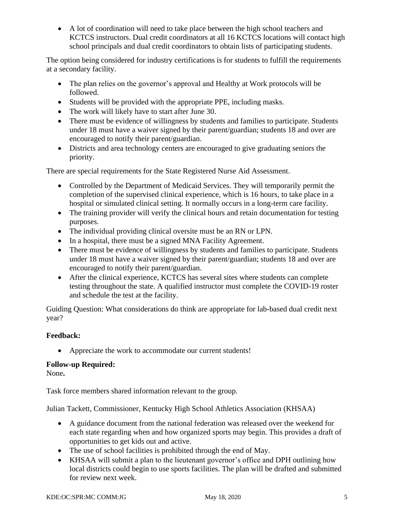• A lot of coordination will need to take place between the high school teachers and KCTCS instructors. Dual credit coordinators at all 16 KCTCS locations will contact high school principals and dual credit coordinators to obtain lists of participating students.

The option being considered for industry certifications is for students to fulfill the requirements at a secondary facility.

- The plan relies on the governor's approval and Healthy at Work protocols will be followed.
- Students will be provided with the appropriate PPE, including masks.
- The work will likely have to start after June 30.
- There must be evidence of willingness by students and families to participate. Students under 18 must have a waiver signed by their parent/guardian; students 18 and over are encouraged to notify their parent/guardian.
- Districts and area technology centers are encouraged to give graduating seniors the priority.

There are special requirements for the State Registered Nurse Aid Assessment.

- Controlled by the Department of Medicaid Services. They will temporarily permit the completion of the supervised clinical experience, which is 16 hours, to take place in a hospital or simulated clinical setting. It normally occurs in a long-term care facility.
- The training provider will verify the clinical hours and retain documentation for testing purposes.
- The individual providing clinical oversite must be an RN or LPN.
- In a hospital, there must be a signed MNA Facility Agreement.
- There must be evidence of willingness by students and families to participate. Students under 18 must have a waiver signed by their parent/guardian; students 18 and over are encouraged to notify their parent/guardian.
- After the clinical experience, KCTCS has several sites where students can complete testing throughout the state. A qualified instructor must complete the COVID-19 roster and schedule the test at the facility.

Guiding Question: What considerations do think are appropriate for lab-based dual credit next year?

# **Feedback:**

• Appreciate the work to accommodate our current students!

# **Follow-up Required:**

None**.**

Task force members shared information relevant to the group.

Julian Tackett, Commissioner, Kentucky High School Athletics Association (KHSAA)

- A guidance document from the national federation was released over the weekend for each state regarding when and how organized sports may begin. This provides a draft of opportunities to get kids out and active.
- The use of school facilities is prohibited through the end of May.
- KHSAA will submit a plan to the lieutenant governor's office and DPH outlining how local districts could begin to use sports facilities. The plan will be drafted and submitted for review next week.